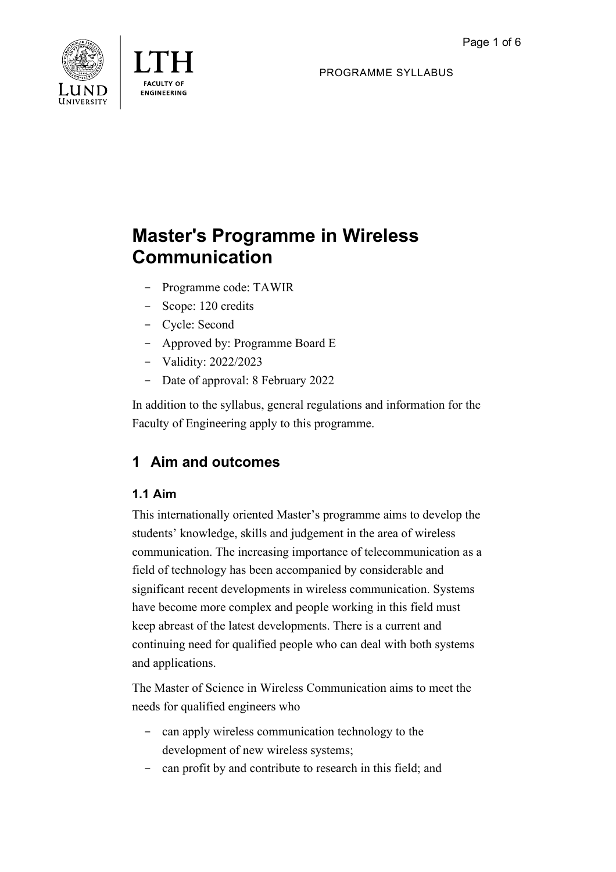



PROGRAMME SYLLABUS

# **Master's Programme in Wireless Communication**

- Programme code: TAWIR
- Scope: 120 credits
- Cycle: Second
- Approved by: Programme Board E
- Validity: 2022/2023
- Date of approval: 8 February 2022

In addition to the syllabus, general regulations and information for the Faculty of Engineering apply to this programme.

# **1 Aim and outcomes**

# **1.1 Aim**

This internationally oriented Master's programme aims to develop the students' knowledge, skills and judgement in the area of wireless communication. The increasing importance of telecommunication as a field of technology has been accompanied by considerable and significant recent developments in wireless communication. Systems have become more complex and people working in this field must keep abreast of the latest developments. There is a current and continuing need for qualified people who can deal with both systems and applications.

The Master of Science in Wireless Communication aims to meet the needs for qualified engineers who

- can apply wireless communication technology to the development of new wireless systems;
- can profit by and contribute to research in this field; and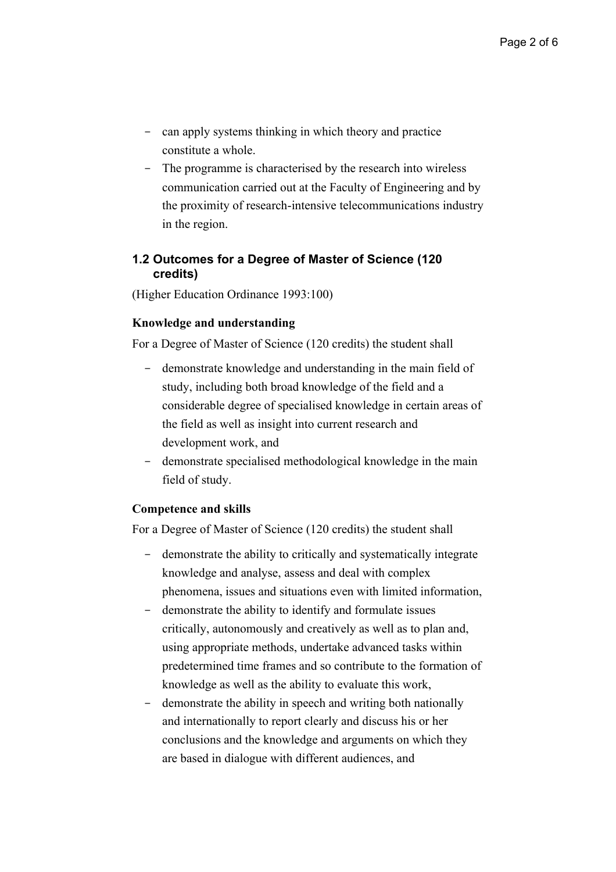- can apply systems thinking in which theory and practice constitute a whole.
- The programme is characterised by the research into wireless communication carried out at the Faculty of Engineering and by the proximity of research-intensive telecommunications industry in the region.

# **1.2 Outcomes for a Degree of Master of Science (120 credits)**

(Higher Education Ordinance 1993:100)

#### **Knowledge and understanding**

For a Degree of Master of Science (120 credits) the student shall

- demonstrate knowledge and understanding in the main field of study, including both broad knowledge of the field and a considerable degree of specialised knowledge in certain areas of the field as well as insight into current research and development work, and
- demonstrate specialised methodological knowledge in the main field of study.

#### **Competence and skills**

For a Degree of Master of Science (120 credits) the student shall

- demonstrate the ability to critically and systematically integrate knowledge and analyse, assess and deal with complex phenomena, issues and situations even with limited information,
- demonstrate the ability to identify and formulate issues critically, autonomously and creatively as well as to plan and, using appropriate methods, undertake advanced tasks within predetermined time frames and so contribute to the formation of knowledge as well as the ability to evaluate this work,
- demonstrate the ability in speech and writing both nationally and internationally to report clearly and discuss his or her conclusions and the knowledge and arguments on which they are based in dialogue with different audiences, and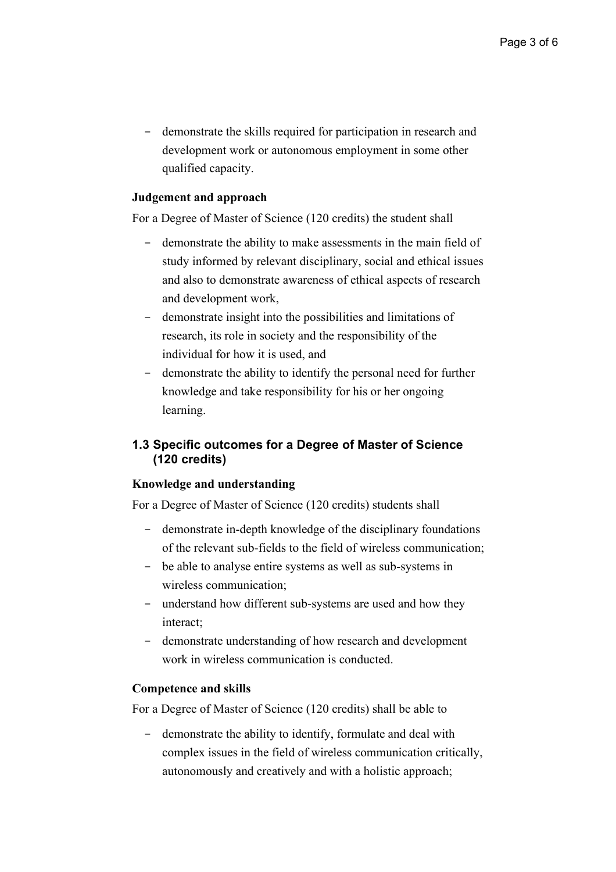- demonstrate the skills required for participation in research and development work or autonomous employment in some other qualified capacity.

#### **Judgement and approach**

For a Degree of Master of Science (120 credits) the student shall

- demonstrate the ability to make assessments in the main field of study informed by relevant disciplinary, social and ethical issues and also to demonstrate awareness of ethical aspects of research and development work,
- demonstrate insight into the possibilities and limitations of research, its role in society and the responsibility of the individual for how it is used, and
- demonstrate the ability to identify the personal need for further knowledge and take responsibility for his or her ongoing learning.

# **1.3 Specific outcomes for a Degree of Master of Science (120 credits)**

#### **Knowledge and understanding**

For a Degree of Master of Science (120 credits) students shall

- demonstrate in-depth knowledge of the disciplinary foundations of the relevant sub-fields to the field of wireless communication;
- be able to analyse entire systems as well as sub-systems in wireless communication;
- understand how different sub-systems are used and how they interact;
- demonstrate understanding of how research and development work in wireless communication is conducted.

#### **Competence and skills**

For a Degree of Master of Science (120 credits) shall be able to

- demonstrate the ability to identify, formulate and deal with complex issues in the field of wireless communication critically, autonomously and creatively and with a holistic approach;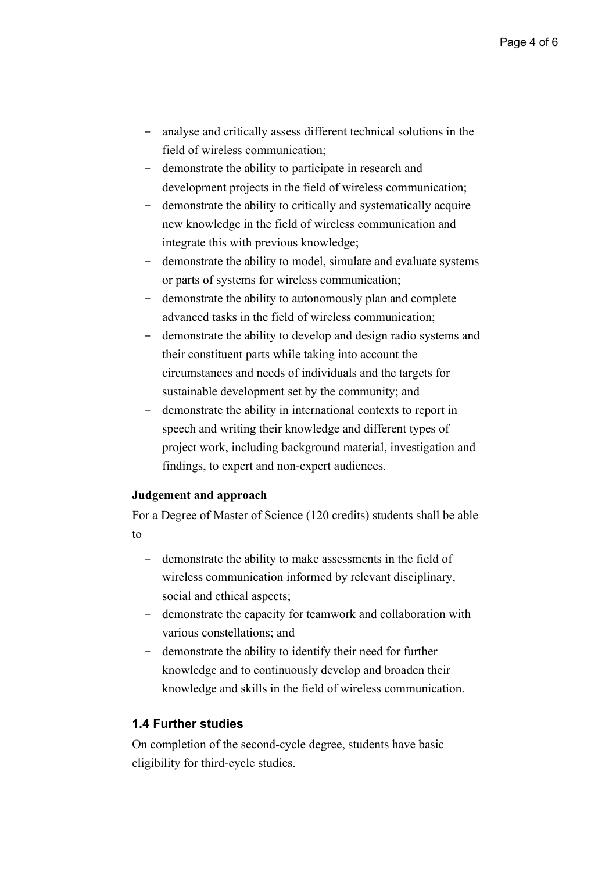- analyse and critically assess different technical solutions in the field of wireless communication;
- demonstrate the ability to participate in research and development projects in the field of wireless communication;
- demonstrate the ability to critically and systematically acquire new knowledge in the field of wireless communication and integrate this with previous knowledge;
- demonstrate the ability to model, simulate and evaluate systems or parts of systems for wireless communication;
- demonstrate the ability to autonomously plan and complete advanced tasks in the field of wireless communication;
- demonstrate the ability to develop and design radio systems and their constituent parts while taking into account the circumstances and needs of individuals and the targets for sustainable development set by the community; and
- demonstrate the ability in international contexts to report in speech and writing their knowledge and different types of project work, including background material, investigation and findings, to expert and non-expert audiences.

#### **Judgement and approach**

For a Degree of Master of Science (120 credits) students shall be able to

- demonstrate the ability to make assessments in the field of wireless communication informed by relevant disciplinary, social and ethical aspects;
- demonstrate the capacity for teamwork and collaboration with various constellations; and
- demonstrate the ability to identify their need for further knowledge and to continuously develop and broaden their knowledge and skills in the field of wireless communication.

#### **1.4 Further studies**

On completion of the second-cycle degree, students have basic eligibility for third-cycle studies.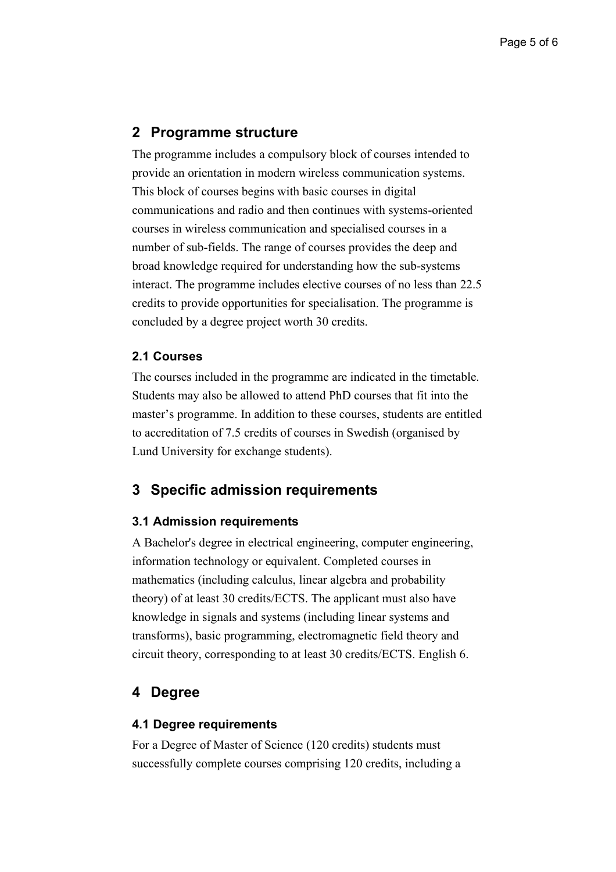# **2 Programme structure**

The programme includes a compulsory block of courses intended to provide an orientation in modern wireless communication systems. This block of courses begins with basic courses in digital communications and radio and then continues with systems-oriented courses in wireless communication and specialised courses in a number of sub-fields. The range of courses provides the deep and broad knowledge required for understanding how the sub-systems interact. The programme includes elective courses of no less than 22.5 credits to provide opportunities for specialisation. The programme is concluded by a degree project worth 30 credits.

#### **2.1 Courses**

The courses included in the programme are indicated in the timetable. Students may also be allowed to attend PhD courses that fit into the master's programme. In addition to these courses, students are entitled to accreditation of 7.5 credits of courses in Swedish (organised by Lund University for exchange students).

# **3 Specific admission requirements**

#### **3.1 Admission requirements**

A Bachelor's degree in electrical engineering, computer engineering, information technology or equivalent. Completed courses in mathematics (including calculus, linear algebra and probability theory) of at least 30 credits/ECTS. The applicant must also have knowledge in signals and systems (including linear systems and transforms), basic programming, electromagnetic field theory and circuit theory, corresponding to at least 30 credits/ECTS. English 6.

# **4 Degree**

#### **4.1 Degree requirements**

For a Degree of Master of Science (120 credits) students must successfully complete courses comprising 120 credits, including a